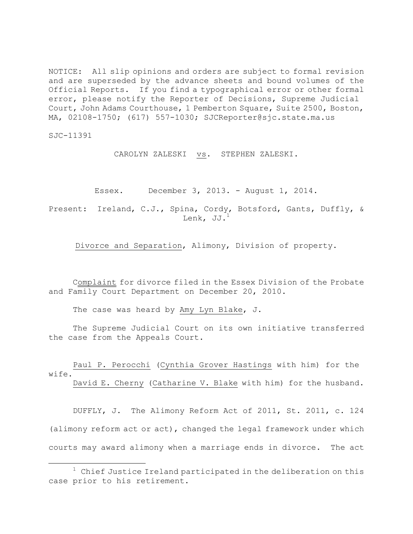NOTICE: All slip opinions and orders are subject to formal revision and are superseded by the advance sheets and bound volumes of the Official Reports. If you find a typographical error or other formal error, please notify the Reporter of Decisions, Supreme Judicial Court, John Adams Courthouse, 1 Pemberton Square, Suite 2500, Boston, MA, 02108-1750; (617) 557-1030; SJCReporter@sjc.state.ma.us

SJC-11391

 $\overline{a}$ 

CAROLYN ZALESKI vs. STEPHEN ZALESKI.

Essex. December 3, 2013. - August 1, 2014.

Present: Ireland, C.J., Spina, Cordy, Botsford, Gants, Duffly, & Lenk, JJ. $^1$ 

Divorce and Separation, Alimony, Division of property.

Complaint for divorce filed in the Essex Division of the Probate and Family Court Department on December 20, 2010.

The case was heard by Amy Lyn Blake, J.

The Supreme Judicial Court on its own initiative transferred the case from the Appeals Court.

Paul P. Perocchi (Cynthia Grover Hastings with him) for the wife. David E. Cherny (Catharine V. Blake with him) for the husband.

DUFFLY, J. The Alimony Reform Act of 2011, St. 2011, c. 124 (alimony reform act or act), changed the legal framework under which courts may award alimony when a marriage ends in divorce. The act

 $1$  Chief Justice Ireland participated in the deliberation on this case prior to his retirement.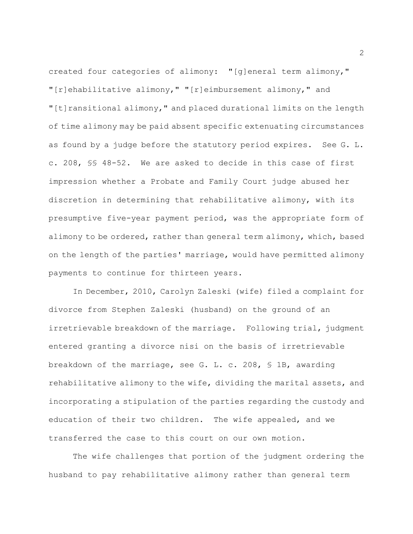created four categories of alimony: "[g]eneral term alimony," "[r]ehabilitative alimony," "[r]eimbursement alimony," and "[t]ransitional alimony," and placed durational limits on the length of time alimony may be paid absent specific extenuating circumstances as found by a judge before the statutory period expires. See G. L. c. 208, §§ 48-52. We are asked to decide in this case of first impression whether a Probate and Family Court judge abused her discretion in determining that rehabilitative alimony, with its presumptive five-year payment period, was the appropriate form of alimony to be ordered, rather than general term alimony, which, based on the length of the parties' marriage, would have permitted alimony payments to continue for thirteen years.

In December, 2010, Carolyn Zaleski (wife) filed a complaint for divorce from Stephen Zaleski (husband) on the ground of an irretrievable breakdown of the marriage. Following trial, judgment entered granting a divorce nisi on the basis of irretrievable breakdown of the marriage, see G. L. c. 208, § 1B, awarding rehabilitative alimony to the wife, dividing the marital assets, and incorporating a stipulation of the parties regarding the custody and education of their two children. The wife appealed, and we transferred the case to this court on our own motion.

The wife challenges that portion of the judgment ordering the husband to pay rehabilitative alimony rather than general term

2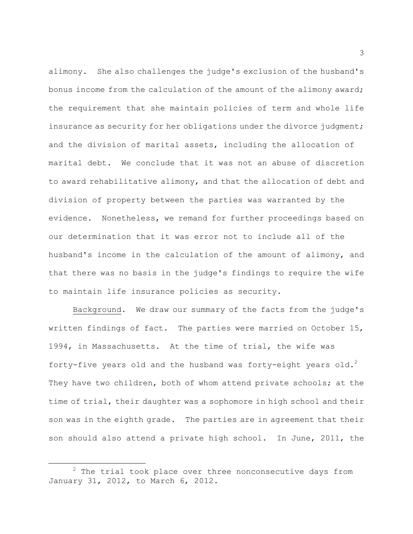alimony. She also challenges the judge's exclusion of the husband's bonus income from the calculation of the amount of the alimony award; the requirement that she maintain policies of term and whole life insurance as security for her obligations under the divorce judgment; and the division of marital assets, including the allocation of marital debt. We conclude that it was not an abuse of discretion to award rehabilitative alimony, and that the allocation of debt and division of property between the parties was warranted by the evidence. Nonetheless, we remand for further proceedings based on our determination that it was error not to include all of the husband's income in the calculation of the amount of alimony, and that there was no basis in the judge's findings to require the wife to maintain life insurance policies as security.

Background. We draw our summary of the facts from the judge's written findings of fact. The parties were married on October 15, 1994, in Massachusetts. At the time of trial, the wife was forty-five years old and the husband was forty-eight years old.<sup>2</sup> They have two children, both of whom attend private schools; at the time of trial, their daughter was a sophomore in high school and their son was in the eighth grade. The parties are in agreement that their son should also attend a private high school. In June, 2011, the

 $2$  The trial took place over three nonconsecutive days from January 31, 2012, to March 6, 2012.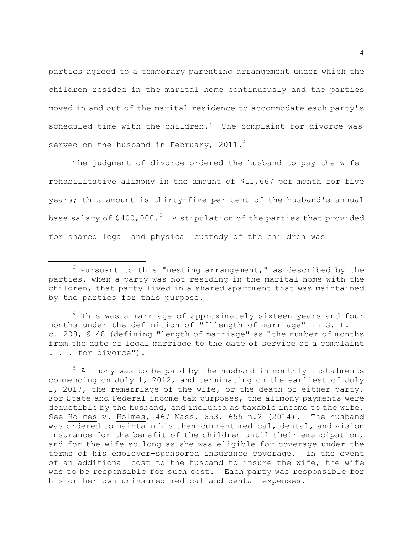parties agreed to a temporary parenting arrangement under which the children resided in the marital home continuously and the parties moved in and out of the marital residence to accommodate each party's scheduled time with the children. $3$  The complaint for divorce was served on the husband in February,  $2011.^4$ 

The judgment of divorce ordered the husband to pay the wife rehabilitative alimony in the amount of \$11,667 per month for five years; this amount is thirty-five per cent of the husband's annual base salary of  $$400,000.^5$  A stipulation of the parties that provided for shared legal and physical custody of the children was

 $3$  Pursuant to this "nesting arrangement," as described by the parties, when a party was not residing in the marital home with the children, that party lived in a shared apartment that was maintained by the parties for this purpose.

<sup>&</sup>lt;sup>4</sup> This was a marriage of approximately sixteen years and four months under the definition of "[l]ength of marriage" in G. L. c. 208, § 48 (defining "length of marriage" as "the number of months from the date of legal marriage to the date of service of a complaint . . . for divorce").

 $5$  Alimony was to be paid by the husband in monthly instalments commencing on July 1, 2012, and terminating on the earliest of July 1, 2017, the remarriage of the wife, or the death of either party. For State and Federal income tax purposes, the alimony payments were deductible by the husband, and included as taxable income to the wife. See Holmes v. Holmes, 467 Mass. 653, 655 n.2 (2014). The husband was ordered to maintain his then-current medical, dental, and vision insurance for the benefit of the children until their emancipation, and for the wife so long as she was eligible for coverage under the terms of his employer-sponsored insurance coverage. In the event of an additional cost to the husband to insure the wife, the wife was to be responsible for such cost. Each party was responsible for his or her own uninsured medical and dental expenses.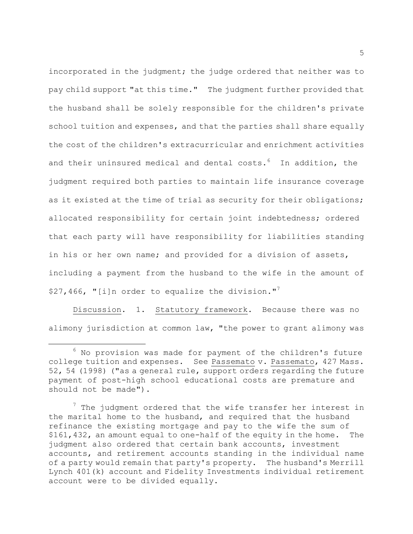incorporated in the judgment; the judge ordered that neither was to pay child support "at this time." The judgment further provided that the husband shall be solely responsible for the children's private school tuition and expenses, and that the parties shall share equally the cost of the children's extracurricular and enrichment activities and their uninsured medical and dental costs. $^{6}$  In addition, the judgment required both parties to maintain life insurance coverage as it existed at the time of trial as security for their obligations; allocated responsibility for certain joint indebtedness; ordered that each party will have responsibility for liabilities standing in his or her own name; and provided for a division of assets, including a payment from the husband to the wife in the amount of \$27,466, "[i]n order to equalize the division."<sup>7</sup>

Discussion. 1. Statutory framework. Because there was no alimony jurisdiction at common law, "the power to grant alimony was

 $6$  No provision was made for payment of the children's future college tuition and expenses. See Passemato v. Passemato, 427 Mass. 52, 54 (1998) ("as a general rule, support orders regarding the future payment of post-high school educational costs are premature and should not be made").

 $<sup>7</sup>$  The judgment ordered that the wife transfer her interest in</sup> the marital home to the husband, and required that the husband refinance the existing mortgage and pay to the wife the sum of \$161,432, an amount equal to one-half of the equity in the home. The judgment also ordered that certain bank accounts, investment accounts, and retirement accounts standing in the individual name of a party would remain that party's property. The husband's Merrill Lynch 401(k) account and Fidelity Investments individual retirement account were to be divided equally.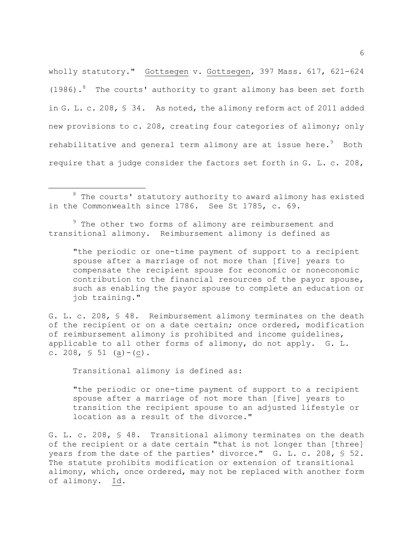wholly statutory." Gottsegen v. Gottsegen, 397 Mass. 617, 621-624 (1986). <sup>8</sup> The courts' authority to grant alimony has been set forth in G. L. c. 208, § 34. As noted, the alimony reform act of 2011 added new provisions to c. 208, creating four categories of alimony; only rehabilitative and general term alimony are at issue here. $9$  Both require that a judge consider the factors set forth in G. L. c. 208,

<sup>9</sup> The other two forms of alimony are reimbursement and transitional alimony. Reimbursement alimony is defined as

"the periodic or one-time payment of support to a recipient spouse after a marriage of not more than [five] years to compensate the recipient spouse for economic or noneconomic contribution to the financial resources of the payor spouse, such as enabling the payor spouse to complete an education or job training."

G. L. c. 208, § 48. Reimbursement alimony terminates on the death of the recipient or on a date certain; once ordered, modification of reimbursement alimony is prohibited and income guidelines, applicable to all other forms of alimony, do not apply. G. L. c. 208,  $\frac{1}{5}$  51 (a) - (c).

Transitional alimony is defined as:

 $\overline{a}$ 

"the periodic or one-time payment of support to a recipient spouse after a marriage of not more than [five] years to transition the recipient spouse to an adjusted lifestyle or location as a result of the divorce."

G. L. c. 208, § 48. Transitional alimony terminates on the death of the recipient or a date certain "that is not longer than [three] years from the date of the parties' divorce." G. L. c. 208, § 52. The statute prohibits modification or extension of transitional alimony, which, once ordered, may not be replaced with another form of alimony. Id.

 $8$  The courts' statutory authority to award alimony has existed in the Commonwealth since 1786. See St 1785, c. 69.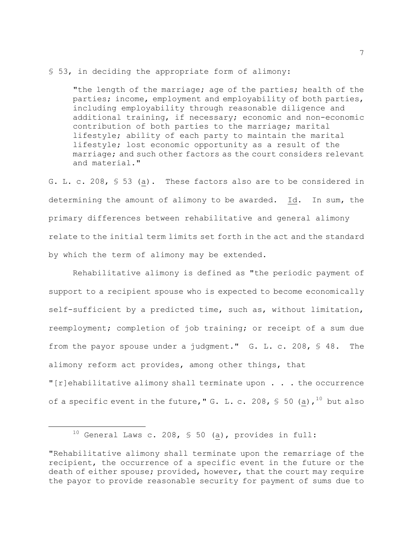## § 53, in deciding the appropriate form of alimony:

"the length of the marriage; age of the parties; health of the parties; income, employment and employability of both parties, including employability through reasonable diligence and additional training, if necessary; economic and non-economic contribution of both parties to the marriage; marital lifestyle; ability of each party to maintain the marital lifestyle; lost economic opportunity as a result of the marriage; and such other factors as the court considers relevant and material."

G. L. c. 208, § 53 (a). These factors also are to be considered in determining the amount of alimony to be awarded. Id. In sum, the primary differences between rehabilitative and general alimony relate to the initial term limits set forth in the act and the standard by which the term of alimony may be extended.

Rehabilitative alimony is defined as "the periodic payment of support to a recipient spouse who is expected to become economically self-sufficient by a predicted time, such as, without limitation, reemployment; completion of job training; or receipt of a sum due from the payor spouse under a judgment." G. L. c. 208, § 48. The alimony reform act provides, among other things, that "[r]ehabilitative alimony shall terminate upon  $\ldots$  . the occurrence

of a specific event in the future, " G. L. c. 208, § 50 (a),  $^{10}$  but also

<sup>&</sup>lt;sup>10</sup> General Laws c. 208, § 50 ( $\underline{a}$ ), provides in full:

<sup>&</sup>quot;Rehabilitative alimony shall terminate upon the remarriage of the recipient, the occurrence of a specific event in the future or the death of either spouse; provided, however, that the court may require the payor to provide reasonable security for payment of sums due to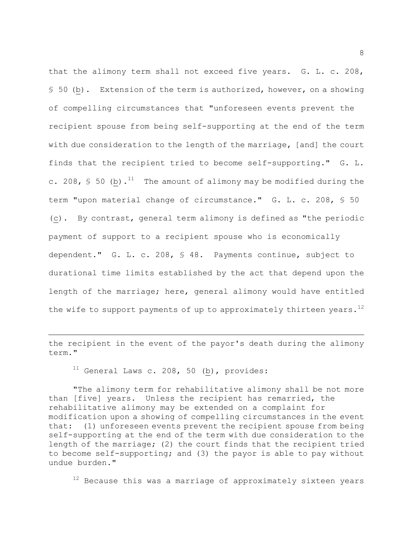that the alimony term shall not exceed five years. G. L. c. 208, § 50 (b). Extension of the term is authorized, however, on a showing of compelling circumstances that "unforeseen events prevent the recipient spouse from being self-supporting at the end of the term with due consideration to the length of the marriage, [and] the court finds that the recipient tried to become self-supporting." G. L. c. 208,  $\sqrt{5}$  50 (b).<sup>11</sup> The amount of alimony may be modified during the term "upon material change of circumstance." G. L. c. 208, § 50 (c). By contrast, general term alimony is defined as "the periodic payment of support to a recipient spouse who is economically dependent." G. L. c. 208, § 48. Payments continue, subject to durational time limits established by the act that depend upon the length of the marriage; here, general alimony would have entitled the wife to support payments of up to approximately thirteen years.<sup>12</sup>

the recipient in the event of the payor's death during the alimony term."

 $11$  General Laws c. 208, 50 (b), provides:

 $\overline{a}$ 

"The alimony term for rehabilitative alimony shall be not more than [five] years. Unless the recipient has remarried, the rehabilitative alimony may be extended on a complaint for modification upon a showing of compelling circumstances in the event that: (1) unforeseen events prevent the recipient spouse from being self-supporting at the end of the term with due consideration to the length of the marriage; (2) the court finds that the recipient tried to become self-supporting; and (3) the payor is able to pay without undue burden."

 $12$  Because this was a marriage of approximately sixteen years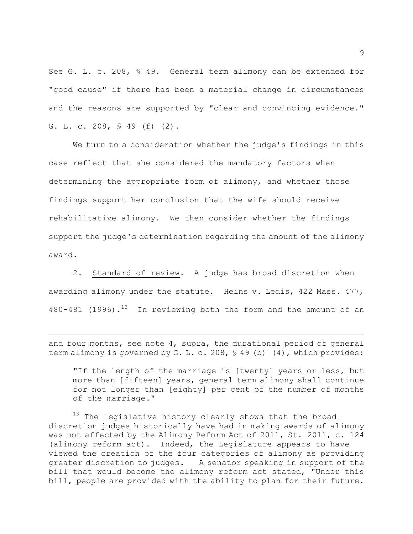See G. L. c. 208, § 49. General term alimony can be extended for "good cause" if there has been a material change in circumstances and the reasons are supported by "clear and convincing evidence." G. L. c. 208, § 49 (f) (2).

We turn to a consideration whether the judge's findings in this case reflect that she considered the mandatory factors when determining the appropriate form of alimony, and whether those findings support her conclusion that the wife should receive rehabilitative alimony. We then consider whether the findings support the judge's determination regarding the amount of the alimony award.

2. Standard of review. A judge has broad discretion when awarding alimony under the statute. Heins v. Ledis, 422 Mass. 477, 480-481 (1996).<sup>13</sup> In reviewing both the form and the amount of an

and four months, see note 4, supra, the durational period of general term alimony is governed by G. L. c. 208, § 49 (b) (4), which provides:

 $\overline{a}$ 

"If the length of the marriage is [twenty] years or less, but more than [fifteen] years, general term alimony shall continue for not longer than [eighty] per cent of the number of months of the marriage."

<sup>13</sup> The legislative history clearly shows that the broad discretion judges historically have had in making awards of alimony was not affected by the Alimony Reform Act of 2011, St. 2011, c. 124 (alimony reform act). Indeed, the Legislature appears to have viewed the creation of the four categories of alimony as providing greater discretion to judges. A senator speaking in support of the bill that would become the alimony reform act stated, "Under this bill, people are provided with the ability to plan for their future.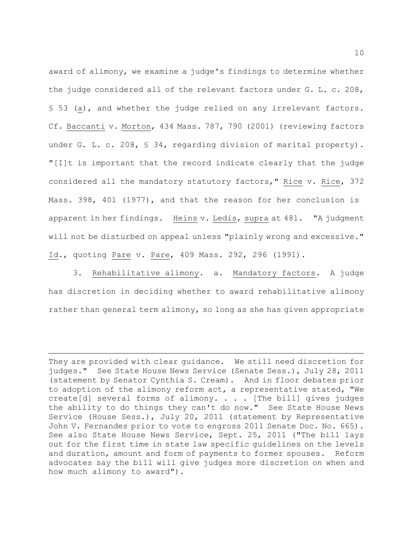award of alimony, we examine a judge's findings to determine whether the judge considered all of the relevant factors under G. L. c. 208, § 53 (a), and whether the judge relied on any irrelevant factors. Cf. Baccanti v. Morton, 434 Mass. 787, 790 (2001) (reviewing factors under G. L. c. 208, § 34, regarding division of marital property). "[I]t is important that the record indicate clearly that the judge considered all the mandatory statutory factors," Rice v. Rice, 372 Mass. 398, 401 (1977), and that the reason for her conclusion is apparent in her findings. Heins v. Ledis, supra at 481. "A judgment will not be disturbed on appeal unless "plainly wrong and excessive." Id., quoting Pare v. Pare, 409 Mass. 292, 296 (1991).

3. Rehabilitative alimony. a. Mandatory factors. A judge has discretion in deciding whether to award rehabilitative alimony rather than general term alimony, so long as she has given appropriate

They are provided with clear guidance. We still need discretion for judges." See State House News Service (Senate Sess.), July 28, 2011 (statement by Senator Cynthia S. Cream). And in floor debates prior to adoption of the alimony reform act, a representative stated, "We create[d] several forms of alimony. . . . [The bill] gives judges the ability to do things they can't do now." See State House News Service (House Sess.), July 20, 2011 (statement by Representative John V. Fernandes prior to vote to engross 2011 Senate Doc. No. 665). See also State House News Service, Sept. 25, 2011 ("The bill lays out for the first time in state law specific guidelines on the levels and duration, amount and form of payments to former spouses. Reform advocates say the bill will give judges more discretion on when and how much alimony to award").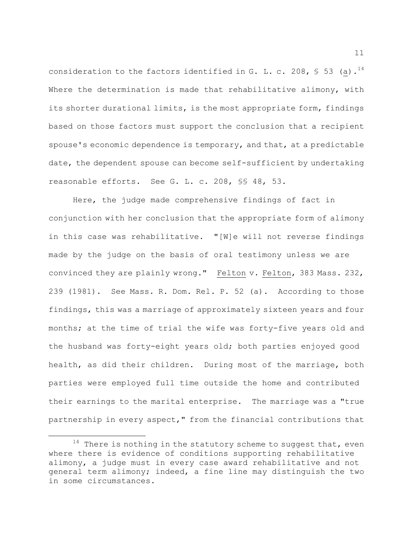consideration to the factors identified in G. L. c. 208, § 53 (a).<sup>14</sup> Where the determination is made that rehabilitative alimony, with its shorter durational limits, is the most appropriate form, findings based on those factors must support the conclusion that a recipient spouse's economic dependence is temporary, and that, at a predictable date, the dependent spouse can become self-sufficient by undertaking reasonable efforts. See G. L. c. 208, §§ 48, 53.

Here, the judge made comprehensive findings of fact in conjunction with her conclusion that the appropriate form of alimony in this case was rehabilitative. "[W]e will not reverse findings made by the judge on the basis of oral testimony unless we are convinced they are plainly wrong." Felton v. Felton, 383 Mass. 232, 239 (1981). See Mass. R. Dom. Rel. P. 52 (a). According to those findings, this was a marriage of approximately sixteen years and four months; at the time of trial the wife was forty-five years old and the husband was forty-eight years old; both parties enjoyed good health, as did their children. During most of the marriage, both parties were employed full time outside the home and contributed their earnings to the marital enterprise. The marriage was a "true partnership in every aspect," from the financial contributions that

 $14$  There is nothing in the statutory scheme to suggest that, even where there is evidence of conditions supporting rehabilitative alimony, a judge must in every case award rehabilitative and not general term alimony; indeed, a fine line may distinguish the two in some circumstances.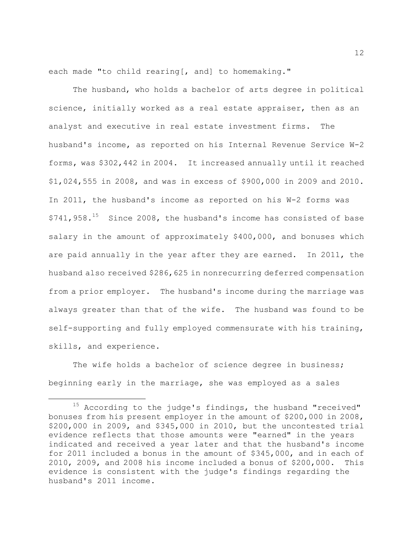each made "to child rearing[, and] to homemaking."

The husband, who holds a bachelor of arts degree in political science, initially worked as a real estate appraiser, then as an analyst and executive in real estate investment firms. The husband's income, as reported on his Internal Revenue Service W-2 forms, was \$302,442 in 2004. It increased annually until it reached \$1,024,555 in 2008, and was in excess of \$900,000 in 2009 and 2010. In 2011, the husband's income as reported on his W-2 forms was \$741,958.<sup>15</sup> Since 2008, the husband's income has consisted of base salary in the amount of approximately \$400,000, and bonuses which are paid annually in the year after they are earned. In 2011, the husband also received \$286,625 in nonrecurring deferred compensation from a prior employer. The husband's income during the marriage was always greater than that of the wife. The husband was found to be self-supporting and fully employed commensurate with his training, skills, and experience.

The wife holds a bachelor of science degree in business; beginning early in the marriage, she was employed as a sales

 $\overline{a}$ 

12

 $15$  According to the judge's findings, the husband "received" bonuses from his present employer in the amount of \$200,000 in 2008, \$200,000 in 2009, and \$345,000 in 2010, but the uncontested trial evidence reflects that those amounts were "earned" in the years indicated and received a year later and that the husband's income for 2011 included a bonus in the amount of \$345,000, and in each of 2010, 2009, and 2008 his income included a bonus of \$200,000. This evidence is consistent with the judge's findings regarding the husband's 2011 income.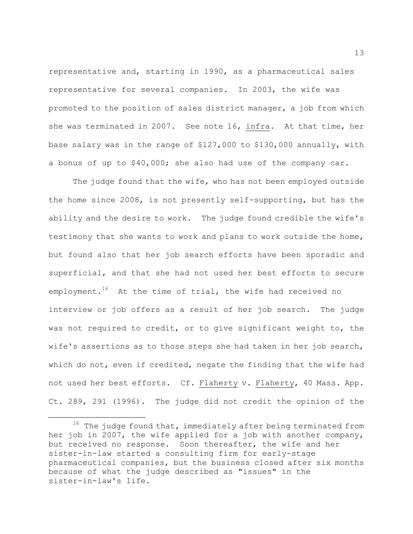representative and, starting in 1990, as a pharmaceutical sales representative for several companies. In 2003, the wife was promoted to the position of sales district manager, a job from which she was terminated in 2007. See note 16, infra. At that time, her base salary was in the range of \$127,000 to \$130,000 annually, with a bonus of up to \$40,000; she also had use of the company car.

The judge found that the wife, who has not been employed outside the home since 2008, is not presently self-supporting, but has the ability and the desire to work. The judge found credible the wife's testimony that she wants to work and plans to work outside the home, but found also that her job search efforts have been sporadic and superficial, and that she had not used her best efforts to secure employment.<sup>16</sup> At the time of trial, the wife had received no interview or job offers as a result of her job search. The judge was not required to credit, or to give significant weight to, the wife's assertions as to those steps she had taken in her job search, which do not, even if credited, negate the finding that the wife had not used her best efforts. Cf. Flaherty v. Flaherty, 40 Mass. App. Ct. 289, 291 (1996). The judge did not credit the opinion of the

 $^{16}\,$  The judge found that, immediately after being terminated from her job in 2007, the wife applied for a job with another company, but received no response. Soon thereafter, the wife and her sister-in-law started a consulting firm for early-stage pharmaceutical companies, but the business closed after six months because of what the judge described as "issues" in the sister-in-law's life.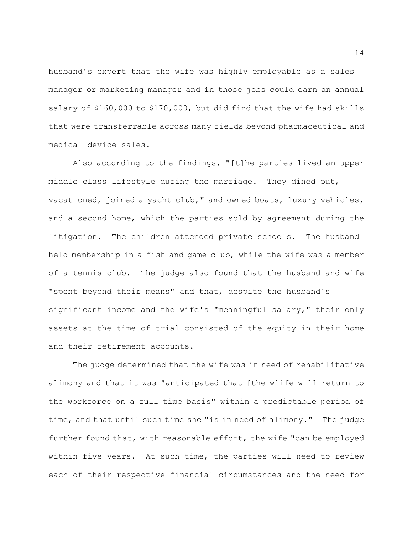husband's expert that the wife was highly employable as a sales manager or marketing manager and in those jobs could earn an annual salary of \$160,000 to \$170,000, but did find that the wife had skills that were transferrable across many fields beyond pharmaceutical and medical device sales.

Also according to the findings, "[t]he parties lived an upper middle class lifestyle during the marriage. They dined out, vacationed, joined a yacht club," and owned boats, luxury vehicles, and a second home, which the parties sold by agreement during the litigation. The children attended private schools. The husband held membership in a fish and game club, while the wife was a member of a tennis club. The judge also found that the husband and wife "spent beyond their means" and that, despite the husband's significant income and the wife's "meaningful salary," their only assets at the time of trial consisted of the equity in their home and their retirement accounts.

The judge determined that the wife was in need of rehabilitative alimony and that it was "anticipated that [the w]ife will return to the workforce on a full time basis" within a predictable period of time, and that until such time she "is in need of alimony." The judge further found that, with reasonable effort, the wife "can be employed within five years. At such time, the parties will need to review each of their respective financial circumstances and the need for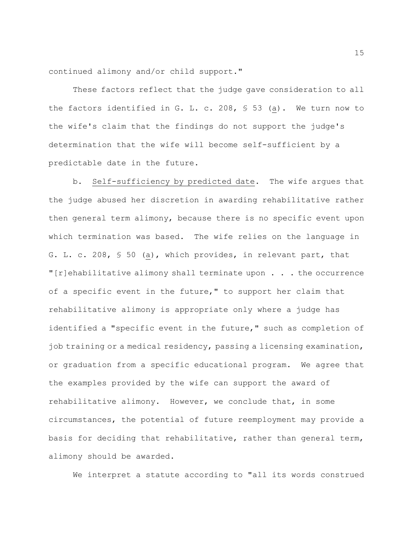continued alimony and/or child support."

These factors reflect that the judge gave consideration to all the factors identified in G. L. c. 208, § 53 (a). We turn now to the wife's claim that the findings do not support the judge's determination that the wife will become self-sufficient by a predictable date in the future.

b. Self-sufficiency by predicted date. The wife argues that the judge abused her discretion in awarding rehabilitative rather then general term alimony, because there is no specific event upon which termination was based. The wife relies on the language in G. L. c. 208, § 50 (a), which provides, in relevant part, that "[r]ehabilitative alimony shall terminate upon . . . the occurrence of a specific event in the future," to support her claim that rehabilitative alimony is appropriate only where a judge has identified a "specific event in the future," such as completion of job training or a medical residency, passing a licensing examination, or graduation from a specific educational program. We agree that the examples provided by the wife can support the award of rehabilitative alimony. However, we conclude that, in some circumstances, the potential of future reemployment may provide a basis for deciding that rehabilitative, rather than general term, alimony should be awarded.

We interpret a statute according to "all its words construed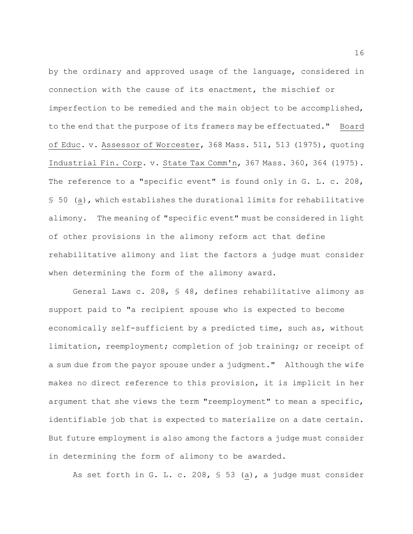by the ordinary and approved usage of the language, considered in connection with the cause of its enactment, the mischief or imperfection to be remedied and the main object to be accomplished, to the end that the purpose of its framers may be effectuated." Board of Educ. v. Assessor of Worcester, 368 Mass. 511, 513 (1975), quoting Industrial Fin. Corp. v. State Tax Comm'n, 367 Mass. 360, 364 (1975). The reference to a "specific event" is found only in G. L. c. 208, § 50 (a), which establishes the durational limits for rehabilitative alimony. The meaning of "specific event" must be considered in light of other provisions in the alimony reform act that define rehabilitative alimony and list the factors a judge must consider when determining the form of the alimony award.

General Laws c. 208, § 48, defines rehabilitative alimony as support paid to "a recipient spouse who is expected to become economically self-sufficient by a predicted time, such as, without limitation, reemployment; completion of job training; or receipt of a sum due from the payor spouse under a judgment." Although the wife makes no direct reference to this provision, it is implicit in her argument that she views the term "reemployment" to mean a specific, identifiable job that is expected to materialize on a date certain. But future employment is also among the factors a judge must consider in determining the form of alimony to be awarded.

As set forth in G. L. c. 208, § 53 (a), a judge must consider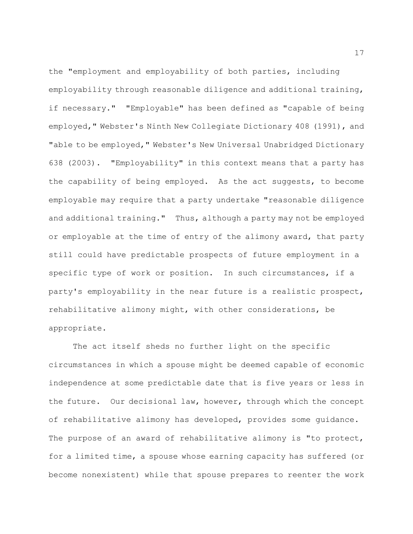the "employment and employability of both parties, including employability through reasonable diligence and additional training, if necessary." "Employable" has been defined as "capable of being employed," Webster's Ninth New Collegiate Dictionary 408 (1991), and "able to be employed, " Webster's New Universal Unabridged Dictionary 638 (2003). "Employability" in this context means that a party has the capability of being employed. As the act suggests, to become employable may require that a party undertake "reasonable diligence and additional training." Thus, although a party may not be employed or employable at the time of entry of the alimony award, that party still could have predictable prospects of future employment in a specific type of work or position. In such circumstances, if a party's employability in the near future is a realistic prospect, rehabilitative alimony might, with other considerations, be appropriate.

The act itself sheds no further light on the specific circumstances in which a spouse might be deemed capable of economic independence at some predictable date that is five years or less in the future. Our decisional law, however, through which the concept of rehabilitative alimony has developed, provides some guidance. The purpose of an award of rehabilitative alimony is "to protect, for a limited time, a spouse whose earning capacity has suffered (or become nonexistent) while that spouse prepares to reenter the work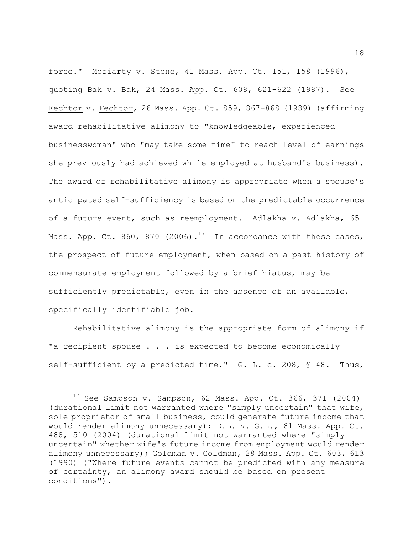force." Moriarty v. Stone, 41 Mass. App. Ct. 151, 158 (1996), quoting Bak v. Bak, 24 Mass. App. Ct. 608, 621-622 (1987). See Fechtor v. Fechtor, 26 Mass. App. Ct. 859, 867-868 (1989) (affirming award rehabilitative alimony to "knowledgeable, experienced businesswoman" who "may take some time" to reach level of earnings she previously had achieved while employed at husband's business). The award of rehabilitative alimony is appropriate when a spouse's anticipated self-sufficiency is based on the predictable occurrence of a future event, such as reemployment. Adlakha v. Adlakha, 65 Mass. App. Ct. 860, 870 (2006).<sup>17</sup> In accordance with these cases, the prospect of future employment, when based on a past history of commensurate employment followed by a brief hiatus, may be sufficiently predictable, even in the absence of an available, specifically identifiable job.

Rehabilitative alimony is the appropriate form of alimony if "a recipient spouse . . . is expected to become economically self-sufficient by a predicted time." G. L. c. 208, § 48. Thus,

 $17$  See Sampson v. Sampson, 62 Mass. App. Ct. 366, 371 (2004) (durational limit not warranted where "simply uncertain" that wife, sole proprietor of small business, could generate future income that would render alimony unnecessary); D.L. v. G.L., 61 Mass. App. Ct. 488, 510 (2004) (durational limit not warranted where "simply uncertain" whether wife's future income from employment would render alimony unnecessary); Goldman v. Goldman, 28 Mass. App. Ct. 603, 613 (1990) ("Where future events cannot be predicted with any measure of certainty, an alimony award should be based on present conditions").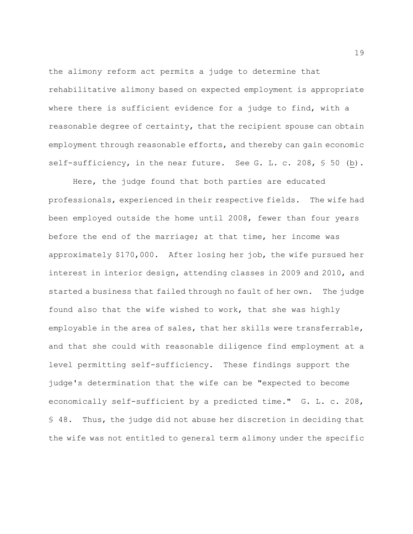the alimony reform act permits a judge to determine that rehabilitative alimony based on expected employment is appropriate where there is sufficient evidence for a judge to find, with a reasonable degree of certainty, that the recipient spouse can obtain employment through reasonable efforts, and thereby can gain economic self-sufficiency, in the near future. See G. L. c. 208, § 50 (b).

Here, the judge found that both parties are educated professionals, experienced in their respective fields. The wife had been employed outside the home until 2008, fewer than four years before the end of the marriage; at that time, her income was approximately \$170,000. After losing her job, the wife pursued her interest in interior design, attending classes in 2009 and 2010, and started a business that failed through no fault of her own. The judge found also that the wife wished to work, that she was highly employable in the area of sales, that her skills were transferrable, and that she could with reasonable diligence find employment at a level permitting self-sufficiency. These findings support the judge's determination that the wife can be "expected to become economically self-sufficient by a predicted time." G. L. c. 208, § 48. Thus, the judge did not abuse her discretion in deciding that the wife was not entitled to general term alimony under the specific

19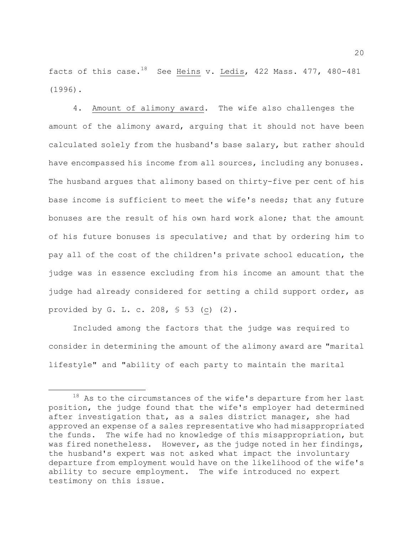facts of this case.<sup>18</sup> See Heins v. Ledis, 422 Mass. 477, 480-481 (1996).

4. Amount of alimony award. The wife also challenges the amount of the alimony award, arguing that it should not have been calculated solely from the husband's base salary, but rather should have encompassed his income from all sources, including any bonuses. The husband argues that alimony based on thirty-five per cent of his base income is sufficient to meet the wife's needs; that any future bonuses are the result of his own hard work alone; that the amount of his future bonuses is speculative; and that by ordering him to pay all of the cost of the children's private school education, the judge was in essence excluding from his income an amount that the judge had already considered for setting a child support order, as provided by G. L. c. 208, § 53 (c) (2).

Included among the factors that the judge was required to consider in determining the amount of the alimony award are "marital lifestyle" and "ability of each party to maintain the marital

 $18$  As to the circumstances of the wife's departure from her last position, the judge found that the wife's employer had determined after investigation that, as a sales district manager, she had approved an expense of a sales representative who had misappropriated the funds. The wife had no knowledge of this misappropriation, but was fired nonetheless. However, as the judge noted in her findings, the husband's expert was not asked what impact the involuntary departure from employment would have on the likelihood of the wife's ability to secure employment. The wife introduced no expert testimony on this issue.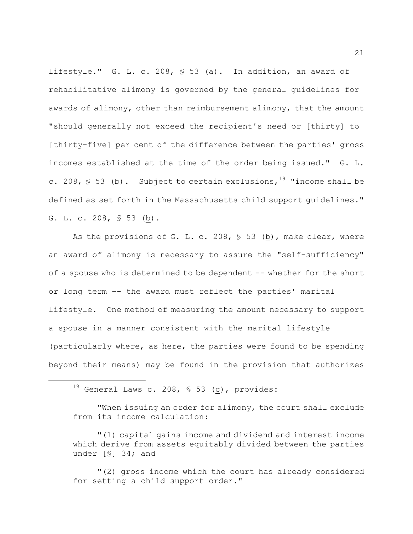lifestyle." G. L. c. 208, § 53 (a). In addition, an award of rehabilitative alimony is governed by the general guidelines for awards of alimony, other than reimbursement alimony, that the amount "should generally not exceed the recipient's need or [thirty] to [thirty-five] per cent of the difference between the parties' gross incomes established at the time of the order being issued." G. L. c. 208, § 53 (b). Subject to certain exclusions,  $19$  "income shall be defined as set forth in the Massachusetts child support guidelines." G. L. c. 208, § 53 (b).

As the provisions of G. L. c. 208, § 53 (b), make clear, where an award of alimony is necessary to assure the "self-sufficiency" of a spouse who is determined to be dependent -- whether for the short or long term –- the award must reflect the parties' marital lifestyle. One method of measuring the amount necessary to support a spouse in a manner consistent with the marital lifestyle (particularly where, as here, the parties were found to be spending beyond their means) may be found in the provision that authorizes

 $\overline{a}$ 

"When issuing an order for alimony, the court shall exclude from its income calculation:

"(1) capital gains income and dividend and interest income which derive from assets equitably divided between the parties under [§] 34; and

"(2) gross income which the court has already considered for setting a child support order."

 $19$  General Laws c. 208, § 53 (c), provides: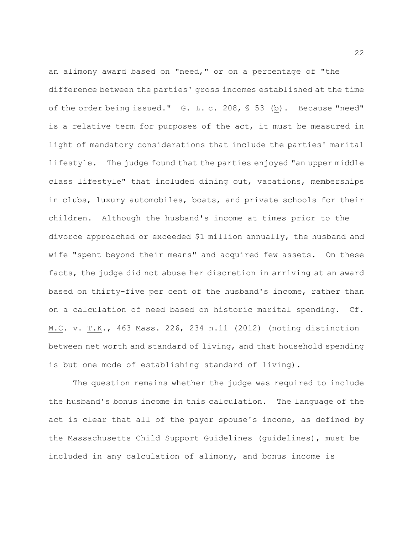an alimony award based on "need," or on a percentage of "the difference between the parties' gross incomes established at the time of the order being issued." G. L. c. 208, § 53 (b). Because "need" is a relative term for purposes of the act, it must be measured in light of mandatory considerations that include the parties' marital lifestyle. The judge found that the parties enjoyed "an upper middle class lifestyle" that included dining out, vacations, memberships in clubs, luxury automobiles, boats, and private schools for their children. Although the husband's income at times prior to the divorce approached or exceeded \$1 million annually, the husband and wife "spent beyond their means" and acquired few assets. On these facts, the judge did not abuse her discretion in arriving at an award based on thirty-five per cent of the husband's income, rather than on a calculation of need based on historic marital spending. Cf. M.C. v. T.K., 463 Mass. 226, 234 n.11 (2012) (noting distinction between net worth and standard of living, and that household spending is but one mode of establishing standard of living).

The question remains whether the judge was required to include the husband's bonus income in this calculation. The language of the act is clear that all of the payor spouse's income, as defined by the Massachusetts Child Support Guidelines (guidelines), must be included in any calculation of alimony, and bonus income is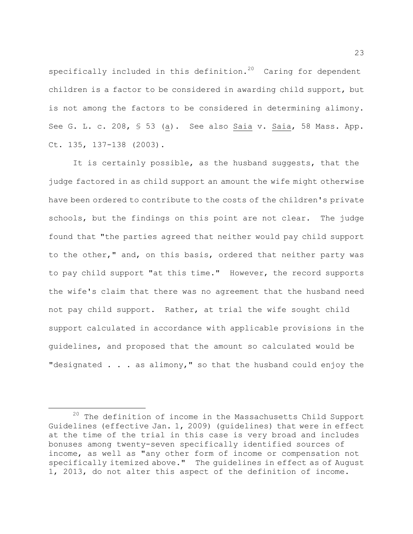specifically included in this definition.<sup>20</sup> Caring for dependent children is a factor to be considered in awarding child support, but is not among the factors to be considered in determining alimony. See G. L. c. 208, § 53 (a). See also Saia v. Saia, 58 Mass. App. Ct. 135, 137-138 (2003).

It is certainly possible, as the husband suggests, that the judge factored in as child support an amount the wife might otherwise have been ordered to contribute to the costs of the children's private schools, but the findings on this point are not clear. The judge found that "the parties agreed that neither would pay child support to the other," and, on this basis, ordered that neither party was to pay child support "at this time." However, the record supports the wife's claim that there was no agreement that the husband need not pay child support. Rather, at trial the wife sought child support calculated in accordance with applicable provisions in the guidelines, and proposed that the amount so calculated would be "designated . . . as alimony," so that the husband could enjoy the

 $20$  The definition of income in the Massachusetts Child Support Guidelines (effective Jan. 1, 2009) (guidelines) that were in effect at the time of the trial in this case is very broad and includes bonuses among twenty-seven specifically identified sources of income, as well as "any other form of income or compensation not specifically itemized above." The guidelines in effect as of August 1, 2013, do not alter this aspect of the definition of income.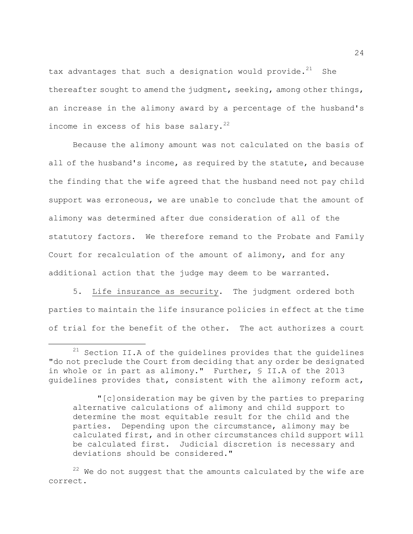tax advantages that such a designation would provide.<sup>21</sup> She thereafter sought to amend the judgment, seeking, among other things, an increase in the alimony award by a percentage of the husband's income in excess of his base salary. $^{22}$ 

Because the alimony amount was not calculated on the basis of all of the husband's income, as required by the statute, and because the finding that the wife agreed that the husband need not pay child support was erroneous, we are unable to conclude that the amount of alimony was determined after due consideration of all of the statutory factors. We therefore remand to the Probate and Family Court for recalculation of the amount of alimony, and for any additional action that the judge may deem to be warranted.

5. Life insurance as security. The judgment ordered both parties to maintain the life insurance policies in effect at the time of trial for the benefit of the other. The act authorizes a court

 $21$  Section II.A of the guidelines provides that the guidelines "do not preclude the Court from deciding that any order be designated in whole or in part as alimony." Further, § II.A of the 2013 guidelines provides that, consistent with the alimony reform act,

<sup>&</sup>quot;[c]onsideration may be given by the parties to preparing alternative calculations of alimony and child support to determine the most equitable result for the child and the parties. Depending upon the circumstance, alimony may be calculated first, and in other circumstances child support will be calculated first. Judicial discretion is necessary and deviations should be considered."

 $22$  We do not suggest that the amounts calculated by the wife are correct.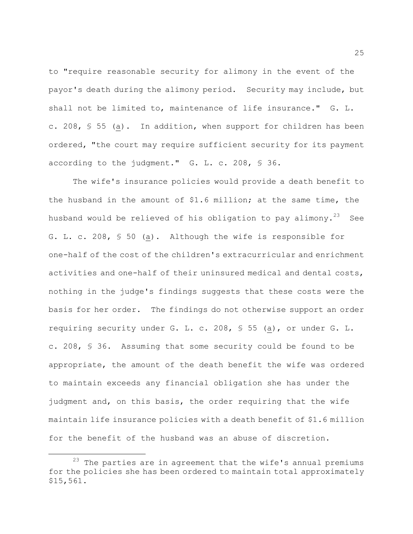to "require reasonable security for alimony in the event of the payor's death during the alimony period. Security may include, but shall not be limited to, maintenance of life insurance." G. L. c. 208, § 55 (a). In addition, when support for children has been ordered, "the court may require sufficient security for its payment according to the judgment." G. L. c. 208, § 36.

The wife's insurance policies would provide a death benefit to the husband in the amount of \$1.6 million; at the same time, the husband would be relieved of his obligation to pay alimony.<sup>23</sup> See G. L. c. 208, § 50 (a). Although the wife is responsible for one-half of the cost of the children's extracurricular and enrichment activities and one-half of their uninsured medical and dental costs, nothing in the judge's findings suggests that these costs were the basis for her order. The findings do not otherwise support an order requiring security under G. L. c. 208, § 55 (a), or under G. L. c. 208, § 36. Assuming that some security could be found to be appropriate, the amount of the death benefit the wife was ordered to maintain exceeds any financial obligation she has under the judgment and, on this basis, the order requiring that the wife maintain life insurance policies with a death benefit of \$1.6 million for the benefit of the husband was an abuse of discretion.

 $23$  The parties are in agreement that the wife's annual premiums for the policies she has been ordered to maintain total approximately \$15,561.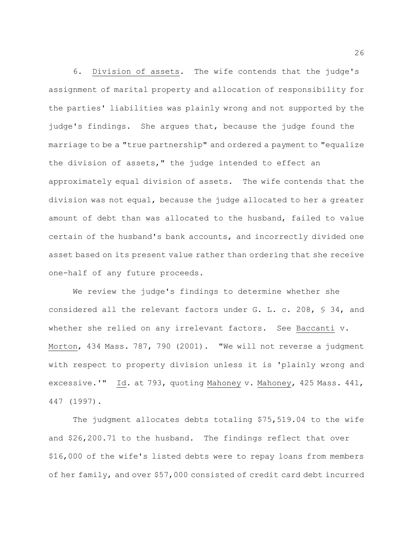6. Division of assets. The wife contends that the judge's assignment of marital property and allocation of responsibility for the parties' liabilities was plainly wrong and not supported by the judge's findings. She argues that, because the judge found the marriage to be a "true partnership" and ordered a payment to "equalize the division of assets," the judge intended to effect an approximately equal division of assets. The wife contends that the division was not equal, because the judge allocated to her a greater amount of debt than was allocated to the husband, failed to value certain of the husband's bank accounts, and incorrectly divided one asset based on its present value rather than ordering that she receive one-half of any future proceeds.

We review the judge's findings to determine whether she considered all the relevant factors under G. L. c. 208, § 34, and whether she relied on any irrelevant factors. See Baccanti v. Morton, 434 Mass. 787, 790 (2001). "We will not reverse a judgment with respect to property division unless it is 'plainly wrong and excessive.'" Id. at 793, quoting Mahoney v. Mahoney, 425 Mass. 441, 447 (1997).

The judgment allocates debts totaling \$75,519.04 to the wife and \$26,200.71 to the husband. The findings reflect that over \$16,000 of the wife's listed debts were to repay loans from members of her family, and over \$57,000 consisted of credit card debt incurred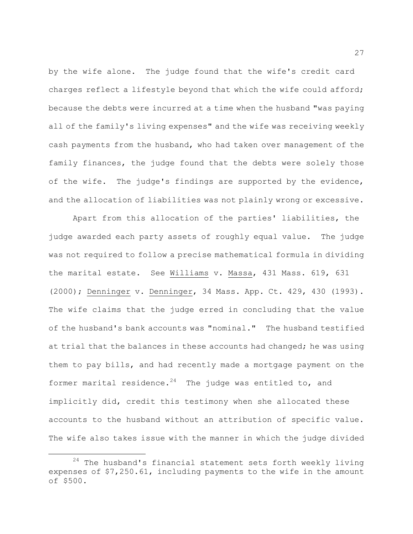by the wife alone. The judge found that the wife's credit card charges reflect a lifestyle beyond that which the wife could afford; because the debts were incurred at a time when the husband "was paying all of the family's living expenses" and the wife was receiving weekly cash payments from the husband, who had taken over management of the family finances, the judge found that the debts were solely those of the wife. The judge's findings are supported by the evidence, and the allocation of liabilities was not plainly wrong or excessive.

Apart from this allocation of the parties' liabilities, the judge awarded each party assets of roughly equal value. The judge was not required to follow a precise mathematical formula in dividing the marital estate. See Williams v. Massa, 431 Mass. 619, 631 (2000); Denninger v. Denninger, 34 Mass. App. Ct. 429, 430 (1993). The wife claims that the judge erred in concluding that the value of the husband's bank accounts was "nominal." The husband testified at trial that the balances in these accounts had changed; he was using them to pay bills, and had recently made a mortgage payment on the former marital residence.<sup>24</sup> The judge was entitled to, and implicitly did, credit this testimony when she allocated these accounts to the husband without an attribution of specific value. The wife also takes issue with the manner in which the judge divided

 $24$  The husband's financial statement sets forth weekly living expenses of \$7,250.61, including payments to the wife in the amount of \$500.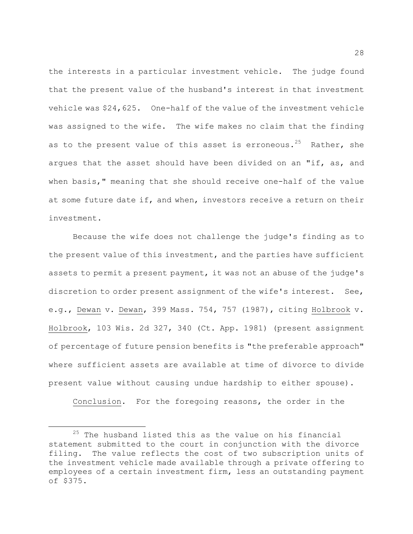the interests in a particular investment vehicle. The judge found that the present value of the husband's interest in that investment vehicle was \$24,625. One-half of the value of the investment vehicle was assigned to the wife. The wife makes no claim that the finding as to the present value of this asset is erroneous.<sup>25</sup> Rather, she argues that the asset should have been divided on an "if, as, and when basis," meaning that she should receive one-half of the value at some future date if, and when, investors receive a return on their investment.

Because the wife does not challenge the judge's finding as to the present value of this investment, and the parties have sufficient assets to permit a present payment, it was not an abuse of the judge's discretion to order present assignment of the wife's interest. See, e.g., Dewan v. Dewan, 399 Mass. 754, 757 (1987), citing Holbrook v. Holbrook, 103 Wis. 2d 327, 340 (Ct. App. 1981) (present assignment of percentage of future pension benefits is "the preferable approach" where sufficient assets are available at time of divorce to divide present value without causing undue hardship to either spouse).

Conclusion. For the foregoing reasons, the order in the

 $25$  The husband listed this as the value on his financial statement submitted to the court in conjunction with the divorce filing. The value reflects the cost of two subscription units of the investment vehicle made available through a private offering to employees of a certain investment firm, less an outstanding payment of \$375.